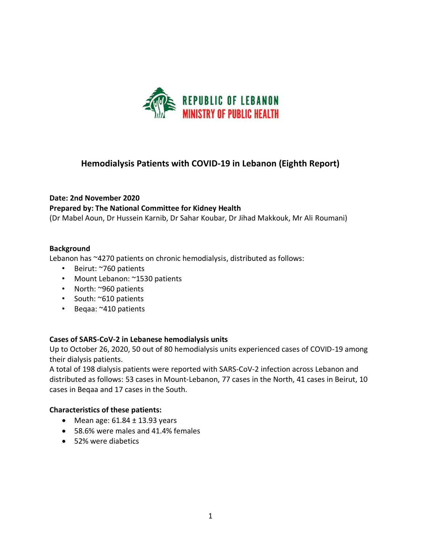

# **Hemodialysis Patients with COVID-19 in Lebanon (Eighth Report)**

# **Date: 2nd November 2020 Prepared by: The National Committee for Kidney Health**

(Dr Mabel Aoun, Dr Hussein Karnib, Dr Sahar Koubar, Dr Jihad Makkouk, Mr Ali Roumani)

### **Background**

Lebanon has ~4270 patients on chronic hemodialysis, distributed as follows:

- Beirut: ~760 patients
- Mount Lebanon: ~1530 patients
- North: ~960 patients
- South: ~610 patients
- Beqaa: ~410 patients

#### **Cases of SARS-CoV-2 in Lebanese hemodialysis units**

Up to October 26, 2020, 50 out of 80 hemodialysis units experienced cases of COVID-19 among their dialysis patients.

A total of 198 dialysis patients were reported with SARS-CoV-2 infection across Lebanon and distributed as follows: 53 cases in Mount-Lebanon, 77 cases in the North, 41 cases in Beirut, 10 cases in Beqaa and 17 cases in the South.

#### **Characteristics of these patients:**

- Mean age:  $61.84 \pm 13.93$  years
- 58.6% were males and 41.4% females
- 52% were diabetics